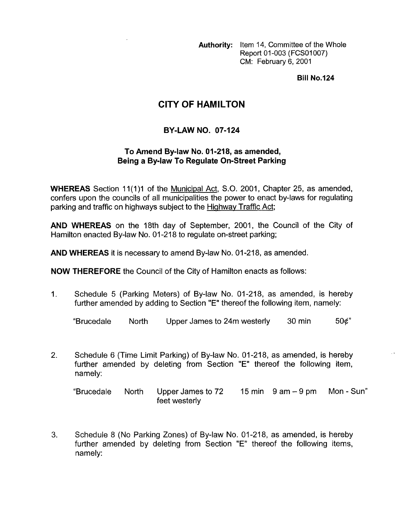**Authority:** Item 14, Committee of the Whole Report 01-003 (FCS01007) CM: February 6, 2001

**Bill No.124** 

## **CITY OF HAMILTON**

## **BY-LAW NO. 07-124**

## **To Amend By-law No. 01-218, as amended, Being a Bylaw To Regulate On-Street Parking**

**WHEREAS** Section 11(1)1 of the Municipal Act, S.O. 2001, Chapter 25, as amended, confers upon the councils of all municipalities the power to enact by-laws for regulating parking and traffic on highways subject to the Highway Traffic Act;

**AND WHEREAS** on the 18th day of September, 2001, the Council of the City of Hamilton enacted By-law No. 01-218 to regulate on-street parking;

**AND WHEREAS** it is necessary to amend By-law No. 01-218, as amended.

**NOW THEREFORE** the Council of the City of Hamilton enacts as follows:

1. Schedule 5 (Parking Meters) of By-law No. 01-218, as amended, is hereby further amended by adding to Section "E" thereof the following item, namely:

"Brucedale North Upper James to 24m westerly 30 min 50¢"

2. Schedule 6 (Time Limit Parking) of By-law No. 01-218, as amended, is hereby further amended by deleting from Section "E" thereof the following item, namely:

"Brucedale North Upper James to 72 15 min 9 am - 9 pm Mon - Sun" feet westerly

**3.** Schedule 8 (No Parking Zones) of By-law No. 01-218, as amended, is hereby further amended by deleting from Section "E" thereof the following items, namely: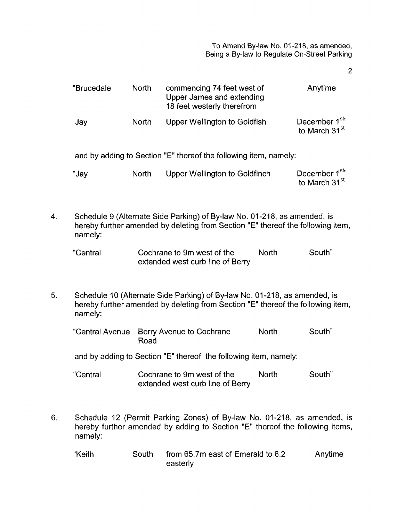To Amend By-law **No.** 01-218, as amended, Being a By-law to Regulate On-Street Parking

2

|                                                                                                                                                                          | "Brucedale                                                                                                                                                              | North        | commencing 74 feet west of<br>Upper James and extending<br>18 feet westerly therefrom |              | Anytime                                               |  |  |
|--------------------------------------------------------------------------------------------------------------------------------------------------------------------------|-------------------------------------------------------------------------------------------------------------------------------------------------------------------------|--------------|---------------------------------------------------------------------------------------|--------------|-------------------------------------------------------|--|--|
|                                                                                                                                                                          | Jay                                                                                                                                                                     | <b>North</b> | Upper Wellington to Goldfish                                                          |              | December 1 <sup>st</sup><br>to March 31 <sup>st</sup> |  |  |
|                                                                                                                                                                          | and by adding to Section "E" thereof the following item, namely:                                                                                                        |              |                                                                                       |              |                                                       |  |  |
|                                                                                                                                                                          | "Jay                                                                                                                                                                    | <b>North</b> | <b>Upper Wellington to Goldfinch</b>                                                  |              | December 1 <sup>st</sup><br>to March 31 <sup>st</sup> |  |  |
| 4.                                                                                                                                                                       | Schedule 9 (Alternate Side Parking) of By-law No. 01-218, as amended, is<br>hereby further amended by deleting from Section "E" thereof the following item,<br>namely:  |              |                                                                                       |              |                                                       |  |  |
|                                                                                                                                                                          | "Central                                                                                                                                                                |              | Cochrane to 9m west of the<br>extended west curb line of Berry                        | <b>North</b> | South"                                                |  |  |
| 5.                                                                                                                                                                       | Schedule 10 (Alternate Side Parking) of By-law No. 01-218, as amended, is<br>hereby further amended by deleting from Section "E" thereof the following item,<br>namely: |              |                                                                                       |              |                                                       |  |  |
|                                                                                                                                                                          | "Central Avenue                                                                                                                                                         | Road         | Berry Avenue to Cochrane                                                              | <b>North</b> | South"                                                |  |  |
|                                                                                                                                                                          | and by adding to Section "E" thereof the following item, namely:                                                                                                        |              |                                                                                       |              |                                                       |  |  |
|                                                                                                                                                                          | "Central                                                                                                                                                                |              | Cochrane to 9m west of the<br>extended west curb line of Berry                        | North        | South"                                                |  |  |
| Schedule 12 (Permit Parking Zones) of By-law No. 01-218, as amended, is<br>6.<br>hereby further amended by adding to Section "E" thereof the following items,<br>namely: |                                                                                                                                                                         |              |                                                                                       |              |                                                       |  |  |
|                                                                                                                                                                          | "Keith                                                                                                                                                                  | South        | from 65.7m east of Emerald to 6.2                                                     |              | Anytime                                               |  |  |

easterly